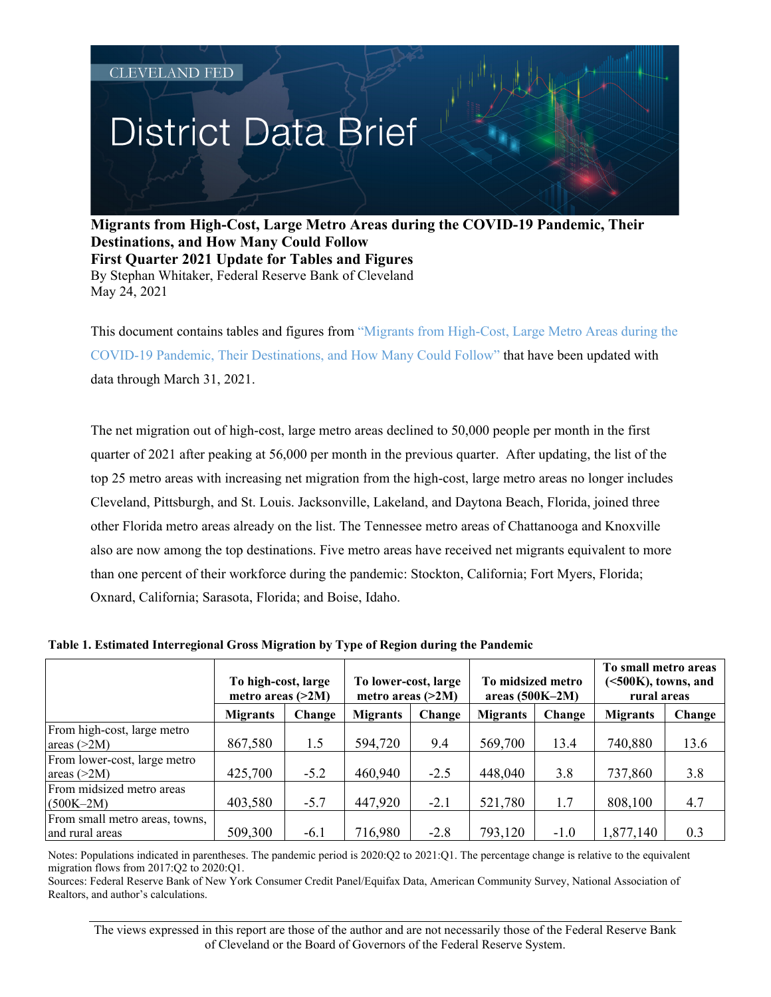## **District Data Brief**

**Migrants from High-Cost, Large Metro Areas during the COVID-19 Pandemic, Their Destinations, and How Many Could Follow First Quarter 2021 Update for Tables and Figures** By Stephan Whitaker, Federal Reserve Bank of Cleveland May 24, 2021

This document contains tables and figures from ["Migrants from High-Cost, Large Metro Areas during the](https://www.clevelandfed.org/newsroom-and-events/publications/cfed-district-data-briefs/cfddb-20210325-migrants-from-high-cost-large-metro-areas-during-the-covid-19-pandemic.aspx)  [COVID-19 Pandemic, Their Destinations, and How Many Could Follow"](https://www.clevelandfed.org/newsroom-and-events/publications/cfed-district-data-briefs/cfddb-20210325-migrants-from-high-cost-large-metro-areas-during-the-covid-19-pandemic.aspx) that have been updated with data through March 31, 2021.

The net migration out of high-cost, large metro areas declined to 50,000 people per month in the first quarter of 2021 after peaking at 56,000 per month in the previous quarter. After updating, the list of the top 25 metro areas with increasing net migration from the high-cost, large metro areas no longer includes Cleveland, Pittsburgh, and St. Louis. Jacksonville, Lakeland, and Daytona Beach, Florida, joined three other Florida metro areas already on the list. The Tennessee metro areas of Chattanooga and Knoxville also are now among the top destinations. Five metro areas have received net migrants equivalent to more than one percent of their workforce during the pandemic: Stockton, California; Fort Myers, Florida; Oxnard, California; Sarasota, Florida; and Boise, Idaho.

|                                | To high-cost, large<br>metro areas $(>2M)$ |        | To lower-cost, large<br>metro areas $(>2M)$ |        | To midsized metro<br>areas $(500K-2M)$ |        | To small metro areas<br>$(<500K)$ , towns, and<br>rural areas |        |
|--------------------------------|--------------------------------------------|--------|---------------------------------------------|--------|----------------------------------------|--------|---------------------------------------------------------------|--------|
|                                | <b>Migrants</b>                            | Change | <b>Migrants</b>                             | Change | <b>Migrants</b>                        | Change | <b>Migrants</b>                                               | Change |
| From high-cost, large metro    |                                            |        |                                             |        |                                        |        |                                                               |        |
| areas $(>2M)$                  | 867,580                                    | 1.5    | 594,720                                     | 9.4    | 569,700                                | 13.4   | 740,880                                                       | 13.6   |
| From lower-cost, large metro   |                                            |        |                                             |        |                                        |        |                                                               |        |
| areas $(>2M)$                  | 425,700                                    | $-5.2$ | 460,940                                     | $-2.5$ | 448,040                                | 3.8    | 737,860                                                       | 3.8    |
| From midsized metro areas      |                                            |        |                                             |        |                                        |        |                                                               |        |
| $(500K-2M)$                    | 403,580                                    | $-5.7$ | 447,920                                     | $-2.1$ | 521,780                                | 1.7    | 808,100                                                       | 4.7    |
| From small metro areas, towns, |                                            |        |                                             |        |                                        |        |                                                               |        |
| and rural areas                | 509,300                                    | $-6.1$ | 716,980                                     | $-2.8$ | 793,120                                | $-1.0$ | 1,877,140                                                     | 0.3    |

## **Table 1. Estimated Interregional Gross Migration by Type of Region during the Pandemic**

Notes: Populations indicated in parentheses. The pandemic period is 2020:Q2 to 2021:Q1. The percentage change is relative to the equivalent migration flows from 2017:Q2 to 2020:Q1.

Sources: Federal Reserve Bank of New York Consumer Credit Panel/Equifax Data, American Community Survey, National Association of Realtors, and author's calculations.

The views expressed in this report are those of the author and are not necessarily those of the Federal Reserve Bank of Cleveland or the Board of Governors of the Federal Reserve System.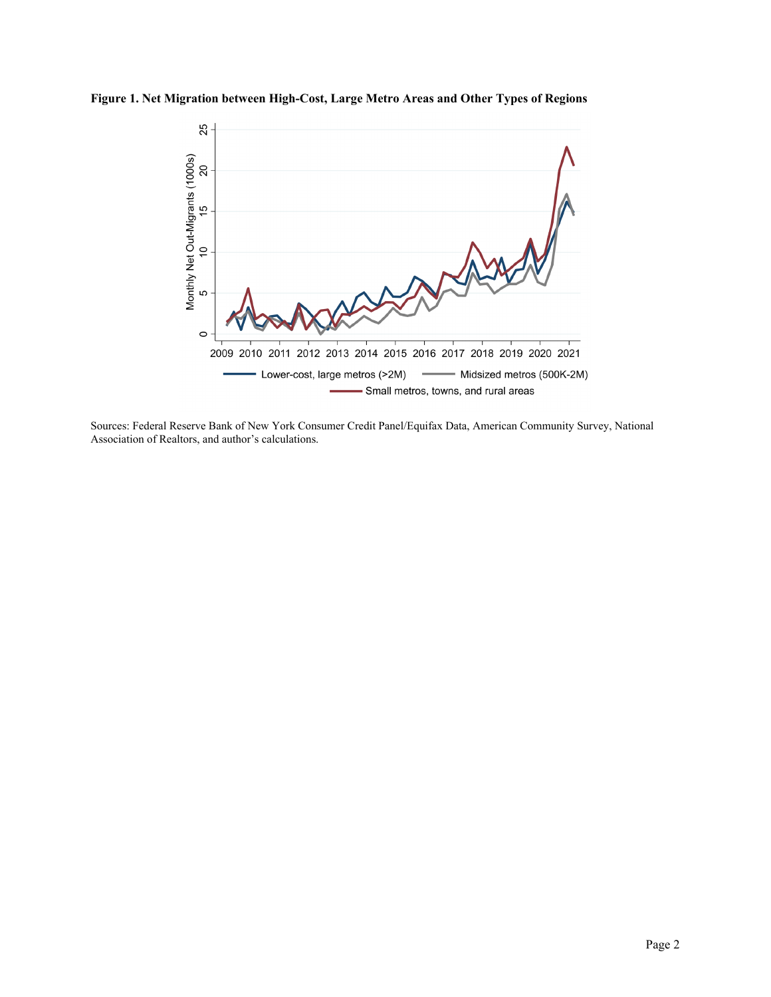

**Figure 1. Net Migration between High-Cost, Large Metro Areas and Other Types of Regions**

Sources: Federal Reserve Bank of New York Consumer Credit Panel/Equifax Data, American Community Survey, National Association of Realtors, and author's calculations.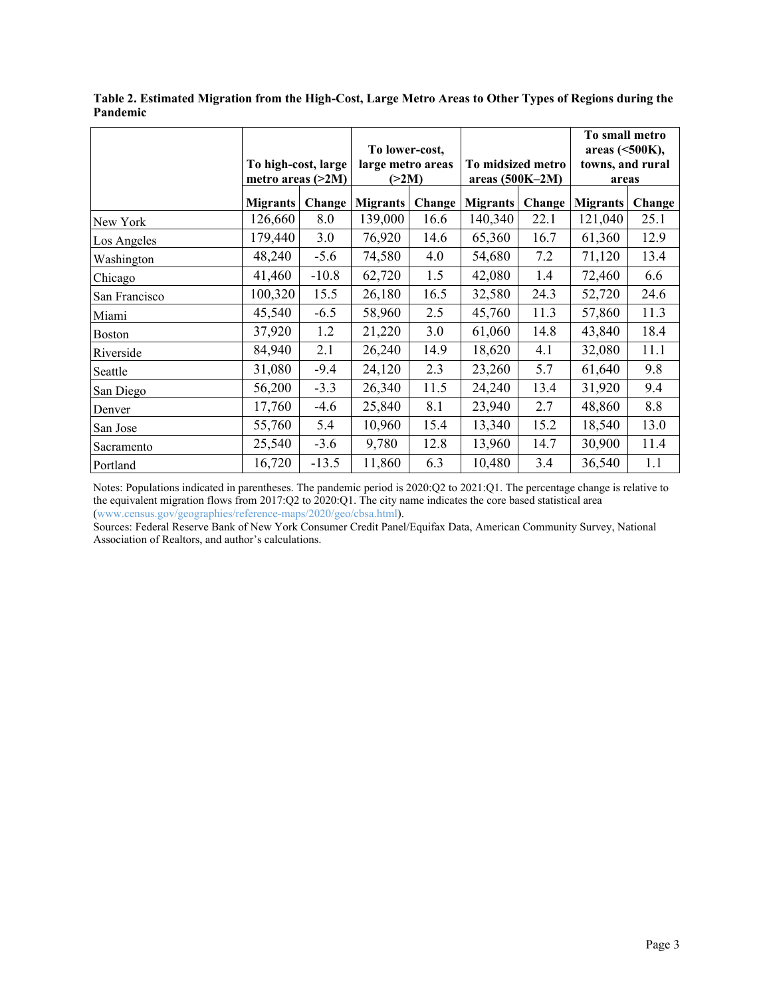|               | To high-cost, large<br>metro areas $(>2M)$ |         | To lower-cost,<br>large metro areas<br>(>2M) |        | To midsized metro<br>areas (500K-2M) |        | To small metro<br>areas $(<500K)$ ,<br>towns, and rural<br>areas |        |
|---------------|--------------------------------------------|---------|----------------------------------------------|--------|--------------------------------------|--------|------------------------------------------------------------------|--------|
|               |                                            |         |                                              |        |                                      |        |                                                                  |        |
|               | <b>Migrants</b>                            | Change  | <b>Migrants</b>                              | Change | <b>Migrants</b>                      | Change | <b>Migrants</b>                                                  | Change |
| New York      | 126,660                                    | 8.0     | 139,000                                      | 16.6   | 140,340                              | 22.1   | 121,040                                                          | 25.1   |
| Los Angeles   | 179,440                                    | 3.0     | 76,920                                       | 14.6   | 65,360                               | 16.7   | 61,360                                                           | 12.9   |
| Washington    | 48,240                                     | $-5.6$  | 74,580                                       | 4.0    | 54,680                               | 7.2    | 71,120                                                           | 13.4   |
| Chicago       | 41,460                                     | $-10.8$ | 62,720                                       | 1.5    | 42,080                               | 1.4    | 72,460                                                           | 6.6    |
| San Francisco | 100,320                                    | 15.5    | 26,180                                       | 16.5   | 32,580                               | 24.3   | 52,720                                                           | 24.6   |
| Miami         | 45,540                                     | $-6.5$  | 58,960                                       | 2.5    | 45,760                               | 11.3   | 57,860                                                           | 11.3   |
| Boston        | 37,920                                     | 1.2     | 21,220                                       | 3.0    | 61,060                               | 14.8   | 43,840                                                           | 18.4   |
| Riverside     | 84,940                                     | 2.1     | 26,240                                       | 14.9   | 18,620                               | 4.1    | 32,080                                                           | 11.1   |
| Seattle       | 31,080                                     | $-9.4$  | 24,120                                       | 2.3    | 23,260                               | 5.7    | 61,640                                                           | 9.8    |
| San Diego     | 56,200                                     | $-3.3$  | 26,340                                       | 11.5   | 24,240                               | 13.4   | 31,920                                                           | 9.4    |
| Denver        | 17,760                                     | $-4.6$  | 25,840                                       | 8.1    | 23,940                               | 2.7    | 48,860                                                           | 8.8    |
| San Jose      | 55,760                                     | 5.4     | 10,960                                       | 15.4   | 13,340                               | 15.2   | 18,540                                                           | 13.0   |
| Sacramento    | 25,540                                     | $-3.6$  | 9,780                                        | 12.8   | 13,960                               | 14.7   | 30,900                                                           | 11.4   |
| Portland      | 16,720                                     | $-13.5$ | 11,860                                       | 6.3    | 10,480                               | 3.4    | 36,540                                                           | 1.1    |

**Table 2. Estimated Migration from the High-Cost, Large Metro Areas to Other Types of Regions during the Pandemic** 

Notes: Populations indicated in parentheses. The pandemic period is 2020:Q2 to 2021:Q1. The percentage change is relative to the equivalent migration flows from 2017:Q2 to 2020:Q1. The city name indicates the core based statistical area [\(www.census.gov/geographies/reference-maps/2020/geo/cbsa.html\)](https://www.census.gov/geographies/reference-maps/2020/geo/cbsa.html).

Sources: Federal Reserve Bank of New York Consumer Credit Panel/Equifax Data, American Community Survey, National Association of Realtors, and author's calculations.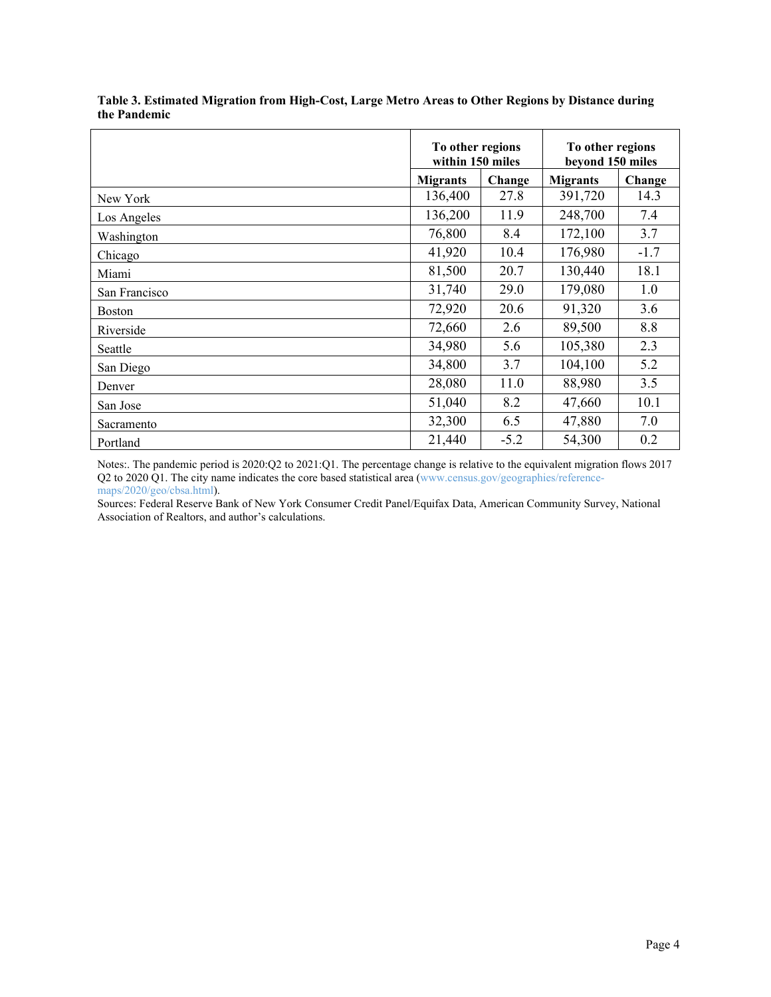|               | To other regions<br>within 150 miles |        | To other regions<br>beyond 150 miles |        |  |
|---------------|--------------------------------------|--------|--------------------------------------|--------|--|
|               | <b>Migrants</b>                      | Change | <b>Migrants</b>                      | Change |  |
| New York      | 136,400                              | 27.8   | 391,720                              | 14.3   |  |
| Los Angeles   | 136,200                              | 11.9   | 248,700                              | 7.4    |  |
| Washington    | 76,800                               | 8.4    | 172,100                              | 3.7    |  |
| Chicago       | 41,920                               | 10.4   | 176,980                              | $-1.7$ |  |
| Miami         | 81,500                               | 20.7   | 130,440                              | 18.1   |  |
| San Francisco | 31,740                               | 29.0   | 179,080                              | 1.0    |  |
| <b>Boston</b> | 72,920                               | 20.6   | 91,320                               | 3.6    |  |
| Riverside     | 72,660                               | 2.6    | 89,500                               | 8.8    |  |
| Seattle       | 34,980                               | 5.6    | 105,380                              | 2.3    |  |
| San Diego     | 34,800                               | 3.7    | 104,100                              | 5.2    |  |
| Denver        | 28,080                               | 11.0   | 88,980                               | 3.5    |  |
| San Jose      | 51,040                               | 8.2    | 47,660                               | 10.1   |  |
| Sacramento    | 32,300                               | 6.5    | 47,880                               | 7.0    |  |
| Portland      | 21,440                               | $-5.2$ | 54,300                               | 0.2    |  |

**Table 3. Estimated Migration from High-Cost, Large Metro Areas to Other Regions by Distance during the Pandemic** 

Notes:. The pandemic period is 2020:Q2 to 2021:Q1. The percentage change is relative to the equivalent migration flows 2017 Q2 to 2020 Q1. The city name indicates the core based statistical area [\(www.census.gov/geographies/reference](https://www.census.gov/geographies/reference-maps/2020/geo/cbsa.html)[maps/2020/geo/cbsa.html\)](https://www.census.gov/geographies/reference-maps/2020/geo/cbsa.html).

Sources: Federal Reserve Bank of New York Consumer Credit Panel/Equifax Data, American Community Survey, National Association of Realtors, and author's calculations.